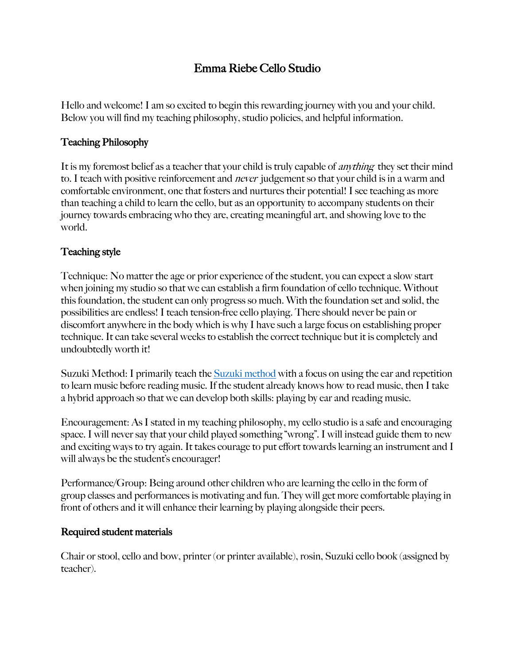# Emma Riebe Cello Studio

Hello and welcome! I am so excited to begin this rewarding journey with you and your child. Below you will find my teaching philosophy, studio policies, and helpful information.

## Teaching Philosophy

It is my foremost belief as a teacher that your child is truly capable of *anything* they set their mind to. I teach with positive reinforcement and *never* judgement so that your child is in a warm and comfortable environment, one that fosters and nurtures their potential! I see teaching as more than teaching a child to learn the cello, but as an opportunity to accompany students on their journey towards embracing who they are, creating meaningful art, and showing love to the world.

## Teaching style

Technique: No matter the age or prior experience of the student, you can expect a slow start when joining my studio so that we can establish a firm foundation of cello technique. Without this foundation, the student can only progress so much. With the foundation set and solid, the possibilities are endless! I teach tension-free cello playing. There should never be pain or discomfort anywhere in the body which is why I have such a large focus on establishing proper technique. It can take several weeks to establish the correct technique but it is completely and undoubtedly worth it!

Suzuki Method: I primarily teach the Suzuki method with a focus on using the ear and repetition to learn music before reading music. If the student already knows how to read music, then I take a hybrid approach so that we can develop both skills: playing by ear and reading music.

Encouragement: As I stated in my teaching philosophy, my cello studio is a safe and encouraging space. I will never say that your child played something "wrong". I will instead guide them to new and exciting ways to try again. It takes courage to put effort towards learning an instrument and I will always be the student's encourager!

Performance/Group: Being around other children who are learning the cello in the form of group classes and performances is motivating and fun. They will get more comfortable playing in front of others and it will enhance their learning by playing alongside their peers.

### Required student materials

Chair or stool, cello and bow, printer (or printer available), rosin, Suzuki cello book (assigned by teacher).